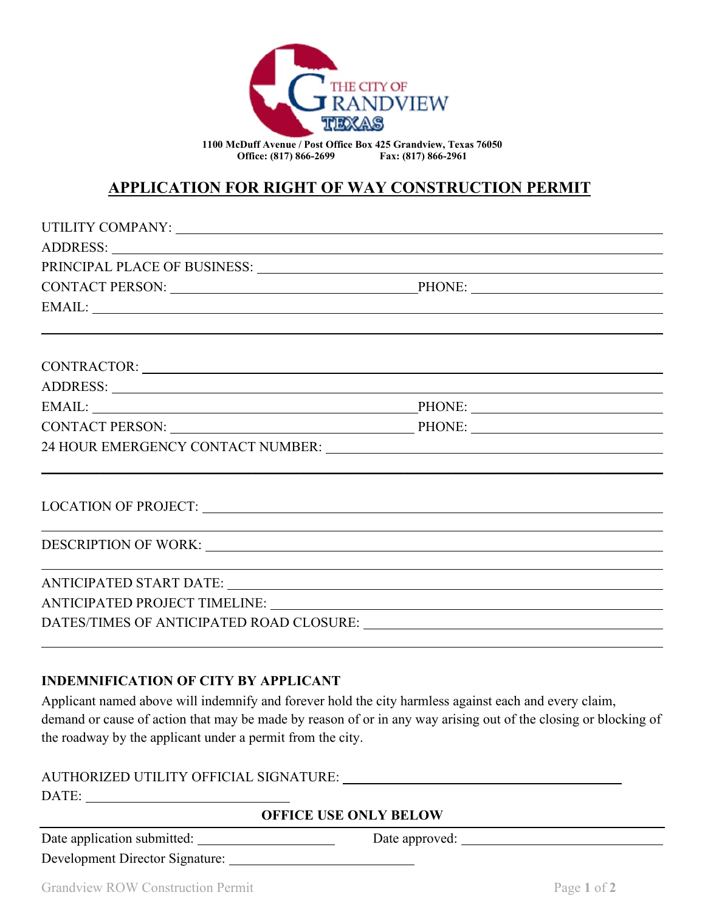

**1100 McDuff Avenue / Post Office Box 425 Grandview, Texas 76050 Office: (817) 866-2699 Fax: (817) 866-2961**

## **APPLICATION FOR RIGHT OF WAY CONSTRUCTION PERMIT**

| <u> 1989 - Jan Samuel de Santa Galileo (f. 1989).</u>                                                          |  |  |
|----------------------------------------------------------------------------------------------------------------|--|--|
|                                                                                                                |  |  |
|                                                                                                                |  |  |
| EMAIL: PHONE: PHONE:                                                                                           |  |  |
| CONTACT PERSON: PERSON: PHONE:                                                                                 |  |  |
| 24 HOUR EMERGENCY CONTACT NUMBER: University of the material and the material and the material and the materia |  |  |
|                                                                                                                |  |  |
|                                                                                                                |  |  |
|                                                                                                                |  |  |
|                                                                                                                |  |  |
|                                                                                                                |  |  |
|                                                                                                                |  |  |
|                                                                                                                |  |  |

## **INDEMNIFICATION OF CITY BY APPLICANT**

Applicant named above will indemnify and forever hold the city harmless against each and every claim, demand or cause of action that may be made by reason of or in any way arising out of the closing or blocking of the roadway by the applicant under a permit from the city.

## AUTHORIZED UTILITY OFFICIAL SIGNATURE:

DATE:

## **OFFICE USE ONLY BELOW**

| Date application submitted:     | Date approved: |
|---------------------------------|----------------|
| Development Director Signature: |                |